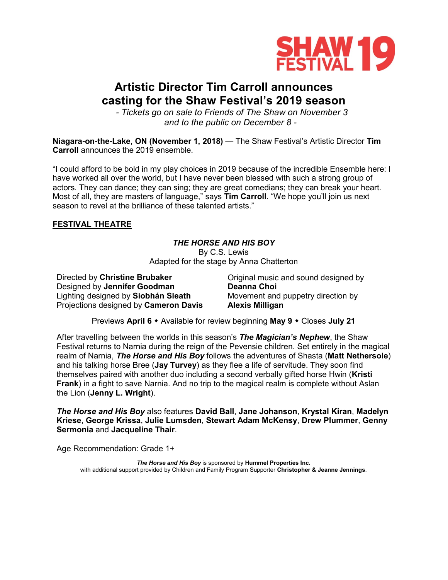

# **Artistic Director Tim Carroll announces casting for the Shaw Festival's 2019 season**

*- Tickets go on sale to Friends of The Shaw on November 3 and to the public on December 8 -*

**Niagara-on-the-Lake, ON (November 1, 2018)** — The Shaw Festival's Artistic Director **Tim Carroll** announces the 2019 ensemble.

"I could afford to be bold in my play choices in 2019 because of the incredible Ensemble here: I have worked all over the world, but I have never been blessed with such a strong group of actors. They can dance; they can sing; they are great comedians; they can break your heart. Most of all, they are masters of language," says **Tim Carroll**. "We hope you'll join us next season to revel at the brilliance of these talented artists."

### **FESTIVAL THEATRE**

# *THE HORSE AND HIS BOY*

By C.S. Lewis Adapted for the stage by Anna Chatterton

Directed by **Christine Brubaker** Designed by **Jennifer Goodman** Lighting designed by **Siobhán Sleath** Projections designed by **Cameron Davis**

Original music and sound designed by **Deanna Choi** Movement and puppetry direction by **Alexis Milligan**

Previews **April 6** Available for review beginning **May 9** Closes **July 21**

After travelling between the worlds in this season's *The Magician's Nephew*, the Shaw Festival returns to Narnia during the reign of the Pevensie children. Set entirely in the magical realm of Narnia, *The Horse and His Boy* follows the adventures of Shasta (**Matt Nethersole**) and his talking horse Bree (**Jay Turvey**) as they flee a life of servitude. They soon find themselves paired with another duo including a second verbally gifted horse Hwin (**Kristi Frank**) in a fight to save Narnia. And no trip to the magical realm is complete without Aslan the Lion (**Jenny L. Wright**).

*The Horse and His Boy* also features **David Ball**, **Jane Johanson**, **Krystal Kiran**, **Madelyn Kriese**, **George Krissa**, **Julie Lumsden**, **Stewart Adam McKensy**, **Drew Plummer**, **Genny Sermonia** and **Jacqueline Thair**.

Age Recommendation: Grade 1+

*The Horse and His Boy* is sponsored by **Hummel Properties Inc.** with additional support provided by Children and Family Program Supporter **Christopher & Jeanne Jennings**.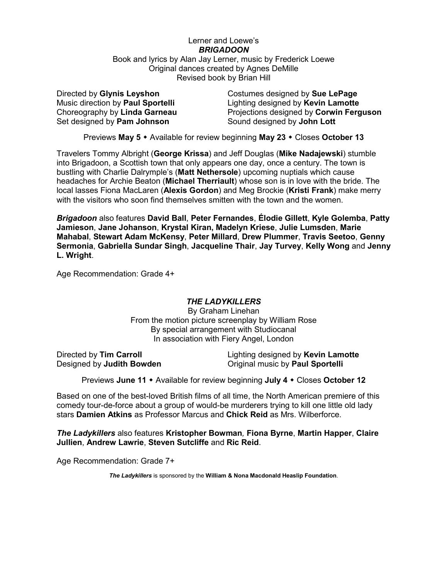### Lerner and Loewe's *BRIGADOON* Book and lyrics by Alan Jay Lerner, music by Frederick Loewe Original dances created by Agnes DeMille Revised book by Brian Hill

Directed by **Glynis Leyshon** Music direction by **Paul Sportelli** Choreography by **Linda Garneau** Set designed by **Pam Johnson**

Costumes designed by **Sue LePage** Lighting designed by **Kevin Lamotte** Projections designed by **Corwin Ferguson** Sound designed by **John Lott**

Previews **May 5** Available for review beginning **May 23** Closes **October 13**

Travelers Tommy Albright (**George Krissa**) and Jeff Douglas (**Mike Nadajewski**) stumble into Brigadoon, a Scottish town that only appears one day, once a century. The town is bustling with Charlie Dalrymple's (**Matt Nethersole**) upcoming nuptials which cause headaches for Archie Beaton (**Michael Therriault**) whose son is in love with the bride. The local lasses Fiona MacLaren (**Alexis Gordon**) and Meg Brockie (**Kristi Frank**) make merry with the visitors who soon find themselves smitten with the town and the women.

*Brigadoon* also features **David Ball**, **Peter Fernandes**, **Élodie Gillett**, **Kyle Golemba**, **Patty Jamieson**, **Jane Johanson**, **Krystal Kiran, Madelyn Kriese**, **Julie Lumsden**, **Marie Mahabal**, **Stewart Adam McKensy**, **Peter Millard**, **Drew Plummer**, **Travis Seetoo**, **Genny Sermonia**, **Gabriella Sundar Singh**, **Jacqueline Thair**, **Jay Turvey**, **Kelly Wong** and **Jenny L. Wright**.

Age Recommendation: Grade 4+

### *THE LADYKILLERS*

By Graham Linehan From the motion picture screenplay by William Rose By special arrangement with Studiocanal In association with Fiery Angel, London

Directed by **Tim Carroll** Designed by **Judith Bowden** Lighting designed by **Kevin Lamotte** Original music by **Paul Sportelli**

Previews **June 11** Available for review beginning **July 4** Closes **October 12**

Based on one of the best-loved British films of all time, the North American premiere of this comedy tour-de-force about a group of would-be murderers trying to kill one little old lady stars **Damien Atkins** as Professor Marcus and **Chick Reid** as Mrs. Wilberforce.

*The Ladykillers* also features **Kristopher Bowman***,* **Fiona Byrne**, **Martin Happer**, **Claire Jullien**, **Andrew Lawrie**, **Steven Sutcliffe** and **Ric Reid**.

Age Recommendation: Grade 7+

*The Ladykillers* is sponsored by the **William & Nona Macdonald Heaslip Foundation**.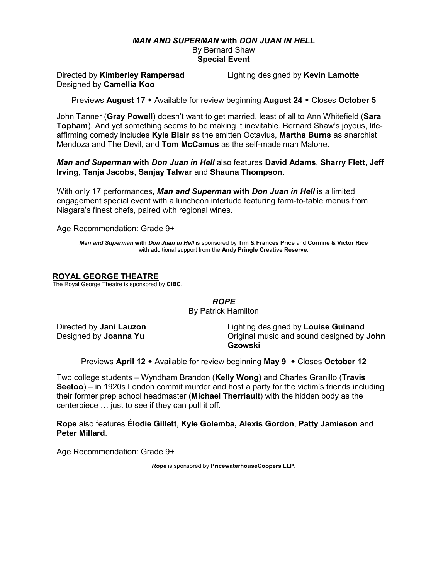### *MAN AND SUPERMAN* **with** *DON JUAN IN HELL* By Bernard Shaw **Special Event**

Directed by **Kimberley Rampersad** Designed by **Camellia Koo**

Lighting designed by **Kevin Lamotte**

Previews **August 17** Available for review beginning **August 24** Closes **October 5**

John Tanner (**Gray Powell**) doesn't want to get married, least of all to Ann Whitefield (**Sara Topham**). And yet something seems to be making it inevitable. Bernard Shaw's joyous, lifeaffirming comedy includes **Kyle Blair** as the smitten Octavius, **Martha Burns** as anarchist Mendoza and The Devil, and **Tom McCamus** as the self-made man Malone.

*Man and Superman* **with** *Don Juan in Hell* also features **David Adams**, **Sharry Flett**, **Jeff Irving**, **Tanja Jacobs**, **Sanjay Talwar** and **Shauna Thompson**.

With only 17 performances, *Man and Superman* **with** *Don Juan in Hell* is a limited engagement special event with a luncheon interlude featuring farm-to-table menus from Niagara's finest chefs, paired with regional wines.

Age Recommendation: Grade 9+

*Man and Superman* **with** *Don Juan in Hell* is sponsored by **Tim & Frances Price** and **Corinne & Victor Rice** with additional support from the **Andy Pringle Creative Reserve**.

### **ROYAL GEORGE THEATRE**

The Royal George Theatre is sponsored by **CIBC**.

*ROPE* By Patrick Hamilton

Directed by **Jani Lauzon** Designed by **Joanna Yu**

Lighting designed by **Louise Guinand** Original music and sound designed by **John Gzowski**

**Previews April 12 •** Available for review beginning **May 9** • Closes October 12

Two college students – Wyndham Brandon (**Kelly Wong**) and Charles Granillo (**Travis Seetoo**) – in 1920s London commit murder and host a party for the victim's friends including their former prep school headmaster (**Michael Therriault**) with the hidden body as the centerpiece … just to see if they can pull it off.

**Rope** also features **Élodie Gillett**, **Kyle Golemba, Alexis Gordon**, **Patty Jamieson** and **Peter Millard**.

Age Recommendation: Grade 9+

*Rope* is sponsored by **PricewaterhouseCoopers LLP**.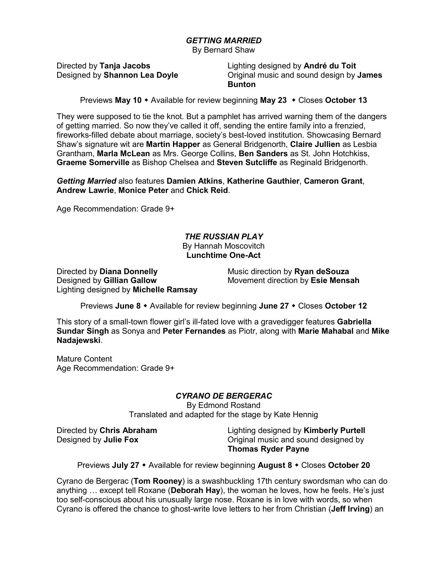# *GETTING MARRIED*

By Bernard Shaw

Directed by **Tanja Jacobs** Designed by **Shannon Lea Doyle** Lighting designed by **André du Toit** Original music and sound design by **James Bunton**

Previews May 10  $\cdot$  Available for review beginning May 23  $\cdot$  Closes October 13

They were supposed to tie the knot. But a pamphlet has arrived warning them of the dangers of getting married. So now they've called it off, sending the entire family into a frenzied, fireworks-filled debate about marriage, society's best-loved institution. Showcasing Bernard Shaw's signature wit are **Martin Happer** as General Bridgenorth, **Claire Jullien** as Lesbia Grantham, **Marla McLean** as Mrs. George Collins, **Ben Sanders** as St. John Hotchkiss, **Graeme Somerville** as Bishop Chelsea and **Steven Sutcliffe** as Reginald Bridgenorth.

*Getting Married* also features **Damien Atkins**, **Katherine Gauthier**, **Cameron Grant**, **Andrew Lawrie**, **Monice Peter** and **Chick Reid**.

Age Recommendation: Grade 9+

#### *THE RUSSIAN PLAY* By Hannah Moscovitch **Lunchtime One-Act**

Directed by **Diana Donnelly** Designed by **Gillian Gallow** Lighting designed by **Michelle Ramsay** Music direction by **Ryan deSouza** Movement direction by **Esie Mensah**

Previews **June 8** Available for review beginning **June 27** Closes **October 12**

This story of a small-town flower girl's ill-fated love with a gravedigger features **Gabriella Sundar Singh** as Sonya and **Peter Fernandes** as Piotr, along with **Marie Mahabal** and **Mike Nadajewski**.

Mature Content Age Recommendation: Grade 9+

# *CYRANO DE BERGERAC*

By Edmond Rostand Translated and adapted for the stage by Kate Hennig

Directed by **Chris Abraham** Designed by **Julie Fox**

Lighting designed by **Kimberly Purtell** Original music and sound designed by **Thomas Ryder Payne**

Previews **July 27** Available for review beginning **August 8** Closes **October 20**

Cyrano de Bergerac (**Tom Rooney**) is a swashbuckling 17th century swordsman who can do anything … except tell Roxane (**Deborah Hay**), the woman he loves, how he feels. He's just too self-conscious about his unusually large nose. Roxane is in love with words, so when Cyrano is offered the chance to ghost-write love letters to her from Christian (**Jeff Irving**) an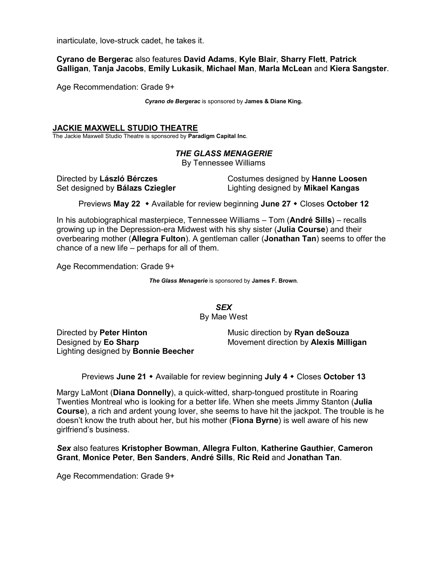inarticulate, love-struck cadet, he takes it.

**Cyrano de Bergerac** also features **David Adams**, **Kyle Blair**, **Sharry Flett**, **Patrick Galligan**, **Tanja Jacobs**, **Emily Lukasik**, **Michael Man**, **Marla McLean** and **Kiera Sangster**.

Age Recommendation: Grade 9+

*Cyrano de Bergerac* is sponsored by **James & Diane King.**

### **JACKIE MAXWELL STUDIO THEATRE**

The Jackie Maxwell Studio Theatre is sponsored by **Paradigm Capital Inc**.

# *THE GLASS MENAGERIE*

By Tennessee Williams

Directed by **László Bérczes** Set designed by **Bálazs Cziegler**

Costumes designed by **Hanne Loosen** Lighting designed by **Mikael Kangas**

Previews **May 22** Available for review beginning **June 27** Closes **October 12**

In his autobiographical masterpiece, Tennessee Williams – Tom (**André Sills**) – recalls growing up in the Depression-era Midwest with his shy sister (**Julia Course**) and their overbearing mother (**Allegra Fulton**). A gentleman caller (**Jonathan Tan**) seems to offer the chance of a new life – perhaps for all of them.

Age Recommendation: Grade 9+

*The Glass Menagerie* is sponsored by **James F. Brown**.

*SEX*

By Mae West

Directed by **Peter Hinton** Designed by **Eo Sharp** Lighting designed by **Bonnie Beecher** Music direction by **Ryan deSouza** Movement direction by **Alexis Milligan**

Previews **June 21** Available for review beginning **July 4** Closes **October 13**

Margy LaMont (**Diana Donnelly**), a quick-witted, sharp-tongued prostitute in Roaring Twenties Montreal who is looking for a better life. When she meets Jimmy Stanton (**Julia Course**), a rich and ardent young lover, she seems to have hit the jackpot. The trouble is he doesn't know the truth about her, but his mother (**Fiona Byrne**) is well aware of his new girlfriend's business.

*Sex* also features **Kristopher Bowman**, **Allegra Fulton**, **Katherine Gauthier**, **Cameron Grant**, **Monice Peter**, **Ben Sanders**, **André Sills**, **Ric Reid** and **Jonathan Tan**.

Age Recommendation: Grade 9+